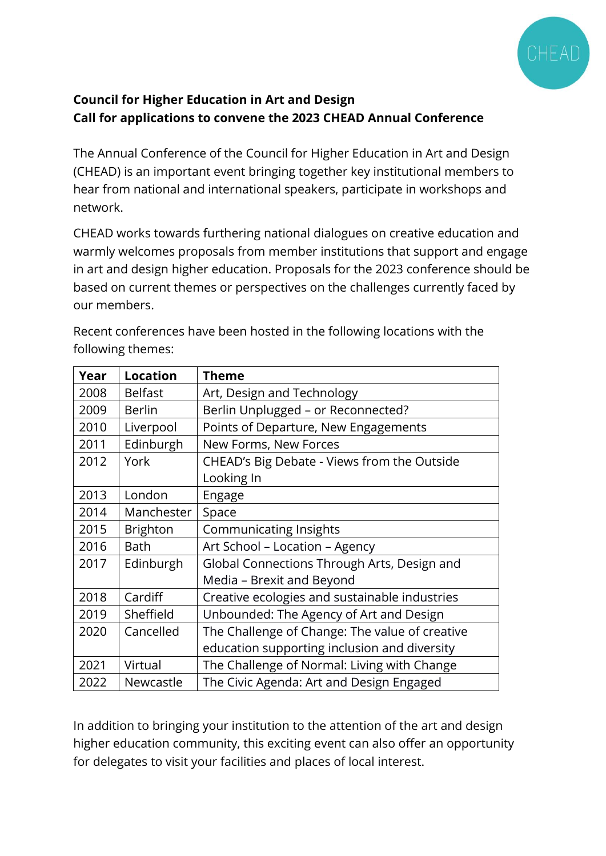

# **Council for Higher Education in Art and Design Call for applications to convene the 2023 CHEAD Annual Conference**

The Annual Conference of the Council for Higher Education in Art and Design (CHEAD) is an important event bringing together key institutional members to hear from national and international speakers, participate in workshops and network.

CHEAD works towards furthering national dialogues on creative education and warmly welcomes proposals from member institutions that support and engage in art and design higher education. Proposals for the 2023 conference should be based on current themes or perspectives on the challenges currently faced by our members.

| Year | <b>Location</b> | <b>Theme</b>                                   |
|------|-----------------|------------------------------------------------|
| 2008 | <b>Belfast</b>  | Art, Design and Technology                     |
| 2009 | <b>Berlin</b>   | Berlin Unplugged - or Reconnected?             |
| 2010 | Liverpool       | Points of Departure, New Engagements           |
| 2011 | Edinburgh       | New Forms, New Forces                          |
| 2012 | York            | CHEAD's Big Debate - Views from the Outside    |
|      |                 | Looking In                                     |
| 2013 | London          | Engage                                         |
| 2014 | Manchester      | Space                                          |
| 2015 | Brighton        | <b>Communicating Insights</b>                  |
| 2016 | Bath            | Art School - Location - Agency                 |
| 2017 | Edinburgh       | Global Connections Through Arts, Design and    |
|      |                 | Media - Brexit and Beyond                      |
| 2018 | Cardiff         | Creative ecologies and sustainable industries  |
| 2019 | Sheffield       | Unbounded: The Agency of Art and Design        |
| 2020 | Cancelled       | The Challenge of Change: The value of creative |
|      |                 | education supporting inclusion and diversity   |
| 2021 | Virtual         | The Challenge of Normal: Living with Change    |
| 2022 | Newcastle       | The Civic Agenda: Art and Design Engaged       |

Recent conferences have been hosted in the following locations with the following themes:

In addition to bringing your institution to the attention of the art and design higher education community, this exciting event can also offer an opportunity for delegates to visit your facilities and places of local interest.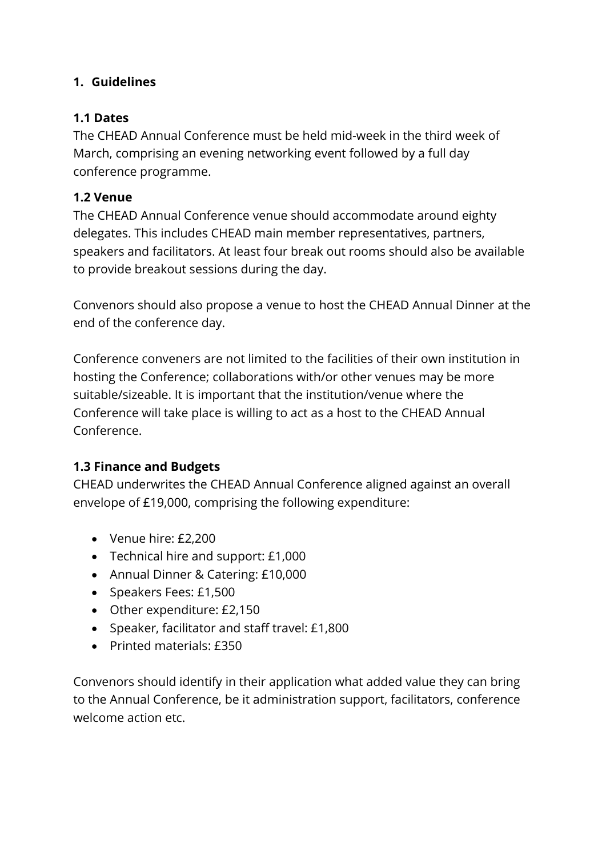## **1. Guidelines**

### **1.1 Dates**

The CHEAD Annual Conference must be held mid-week in the third week of March, comprising an evening networking event followed by a full day conference programme.

### **1.2 Venue**

The CHEAD Annual Conference venue should accommodate around eighty delegates. This includes CHEAD main member representatives, partners, speakers and facilitators. At least four break out rooms should also be available to provide breakout sessions during the day.

Convenors should also propose a venue to host the CHEAD Annual Dinner at the end of the conference day.

Conference conveners are not limited to the facilities of their own institution in hosting the Conference; collaborations with/or other venues may be more suitable/sizeable. It is important that the institution/venue where the Conference will take place is willing to act as a host to the CHEAD Annual Conference.

## **1.3 Finance and Budgets**

CHEAD underwrites the CHEAD Annual Conference aligned against an overall envelope of £19,000, comprising the following expenditure:

- Venue hire: £2,200
- Technical hire and support: £1,000
- Annual Dinner & Catering: £10,000
- Speakers Fees: £1,500
- Other expenditure: £2,150
- Speaker, facilitator and staff travel: £1,800
- Printed materials: £350

Convenors should identify in their application what added value they can bring to the Annual Conference, be it administration support, facilitators, conference welcome action etc.